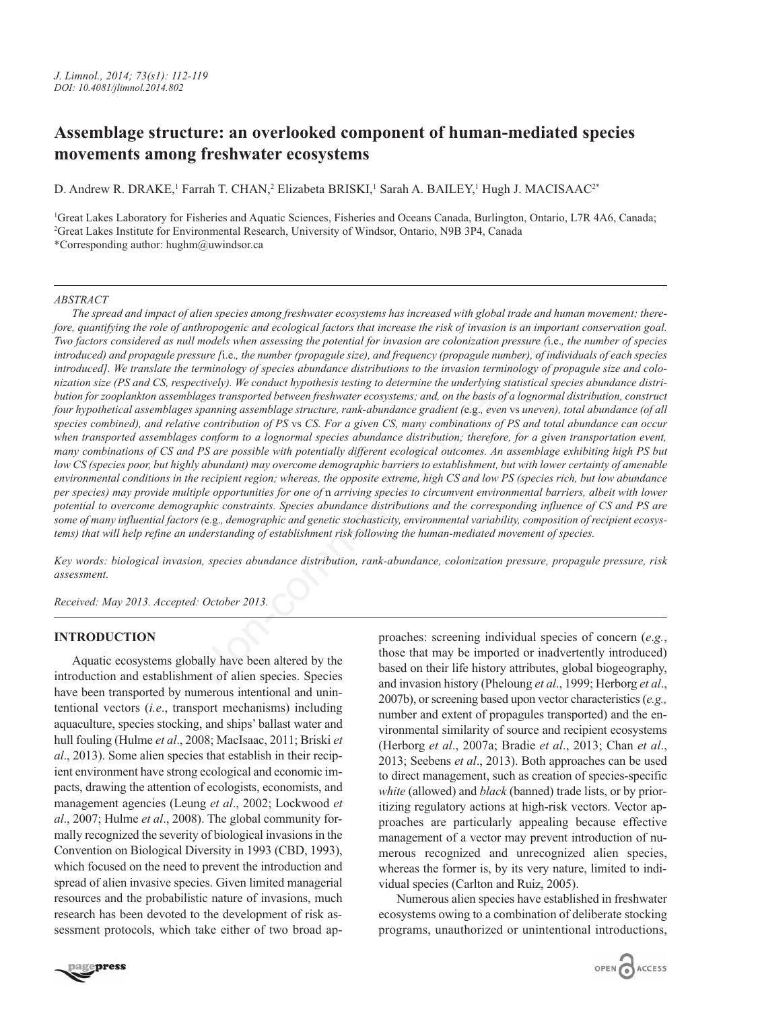# **Assemblage structure: an overlooked component of human-mediated species movements among freshwater ecosystems**

D. Andrew R. DRAKE,<sup>1</sup> Farrah T. CHAN,<sup>2</sup> Elizabeta BRISKI,<sup>1</sup> Sarah A. BAILEY,<sup>1</sup> Hugh J. MACISAAC<sup>2\*</sup>

1 Great Lakes Laboratory for Fisheries and Aquatic Sciences, Fisheries and Oceans Canada, Burlington, Ontario, L7R 4A6, Canada; 2 Great Lakes Institute for Environmental Research, University of Windsor, Ontario, N9B 3P4, Canada \*Corresponding author: hughm@uwindsor.ca

## *ABSTRACT*

*The spread and impact of alien species among freshwater ecosystems has increased with global trade and human movement; therefore, quantifying the role of anthropogenic and ecological factors that increase the risk of invasion is an important conservation goal. Two factors considered as null models when assessing the potential for invasion are colonization pressure (*i.e.*, the number of species introduced) and propagule pressure [*i.e.*, the number (propagule size), and frequency (propagule number), of individuals of each species introduced]. We translate the terminology of species abundance distributions to the invasion terminology of propagule size and colonization size (PS and CS, respectively). We conduct hypothesis testing to determine the underlying statistical species abundance distribution for zooplankton assemblages transported between freshwater ecosystems; and, on the basis of a lognormal distribution, construct four hypothetical assemblages spanning assemblage structure, rank-abundance gradient (*e.g.*, even* vs *uneven), total abundance (of all species combined), and relative contribution of PS* vs *CS. For a given CS, many combinations of PS and total abundance can occur when transported assemblages conform to a lognormal species abundance distribution; therefore, for a given transportation event, many combinations of CS and PS are possible with potentially different ecological outcomes. An assemblage exhibiting high PS but low CS (species poor, but highly abundant) may overcome demographic barriers to establishment, but with lower certainty of amenable environmental conditions in the recipient region; whereas, the opposite extreme, high CS and low PS (species rich, but low abundance per species) may provide multiple opportunities for one of n arriving species to circumvent environmental barriers, albeit with lower potential to overcome demographic constraints. Species abundance distributions and the corresponding influence of CS and PS are some of many influential factors (*e.g.*, demographic and genetic stochasticity, environmental variability, composition of recipient ecosystems) that will help refine an understanding of establishment risk following the human-mediated movement of species.* mologine and ecouplical use on the means in the mean of models when a seasing the potential for invasion are colonization pressure (i.e., the number (propagule ize), and frequency (propagule number), of individuance distr

*Key words: biological invasion, species abundance distribution, rank-abundance, colonization pressure, propagule pressure, risk assessment.*

*Received: May 2013. Accepted: October 2013.*

## **INTRODUCTION**

Aquatic ecosystems globally have been altered by the introduction and establishment of alien species. Species have been transported by numerous intentional and unintentional vectors (*i.e*., transport mechanisms) including aquaculture, species stocking, and ships' ballast water and hull fouling (Hulme *et al*., 2008; MacIsaac, 2011; Briski *et al*., 2013). Some alien species that establish in their recipient environment have strong ecological and economic impacts, drawing the attention of ecologists, economists, and management agencies (Leung *et al*., 2002; Lockwood *et al*., 2007; Hulme *et al*., 2008). The global community formally recognized the severity of biological invasions in the Convention on Biological Diversity in 1993 (CBD, 1993), which focused on the need to prevent the introduction and spread of alien invasive species. Given limited managerial resources and the probabilistic nature of invasions, much research has been devoted to the development of risk assessment protocols, which take either of two broad approaches: screening individual species of concern (*e*.*g.*, those that may be imported or inadvertently introduced) based on their life history attributes, global biogeography, and invasion history (Pheloung *et al*., 1999; Herborg *et al*., 2007b), or screening based upon vector characteristics (*e.g.,* number and extent of propagules transported) and the environmental similarity of source and recipient ecosystems (Herborg *et al*., 2007a; Bradie *et al*., 2013; Chan *et al*., 2013; Seebens *et al*., 2013). Both approaches can be used to direct management, such as creation of species-specific *white* (allowed) and *black* (banned) trade lists, or by prioritizing regulatory actions at high-risk vectors. Vector approaches are particularly appealing because effective management of a vector may prevent introduction of numerous recognized and unrecognized alien species, whereas the former is, by its very nature, limited to individual species (Carlton and Ruiz, 2005).

Numerous alien species have established in freshwater ecosystems owing to a combination of deliberate stocking programs, unauthorized or unintentional introductions,

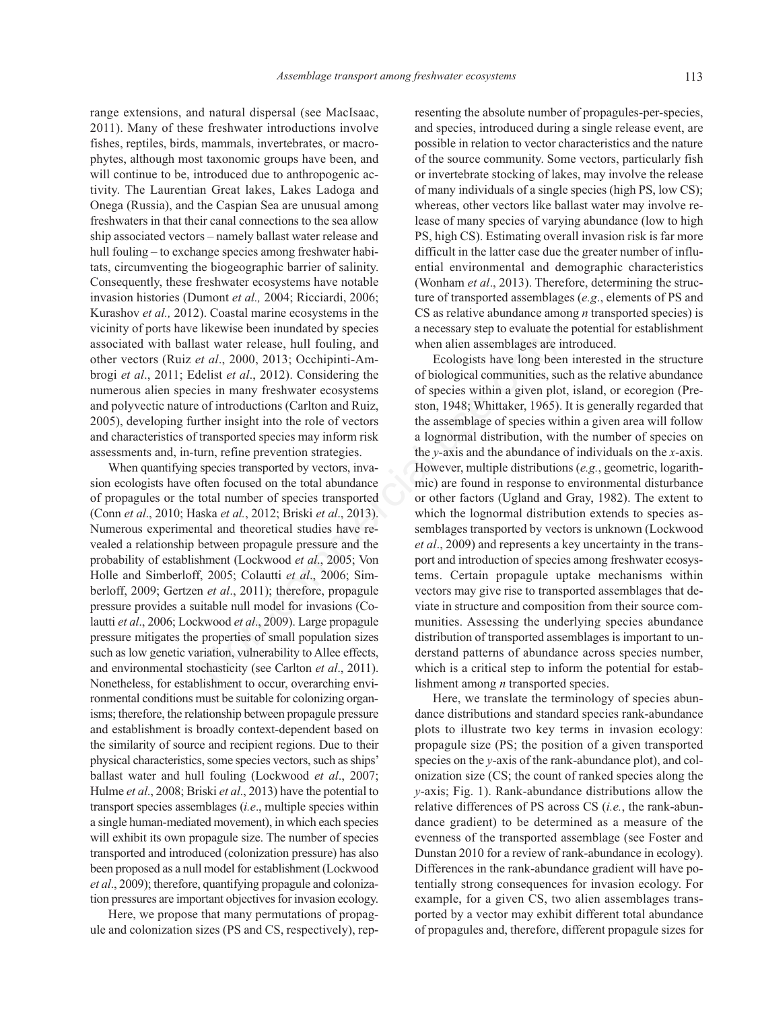range extensions, and natural dispersal (see MacIsaac, 2011). Many of these freshwater introductions involve fishes, reptiles, birds, mammals, invertebrates, or macrophytes, although most taxonomic groups have been, and will continue to be, introduced due to anthropogenic activity. The Laurentian Great lakes, Lakes Ladoga and Onega (Russia), and the Caspian Sea are unusual among freshwaters in that their canal connections to the sea allow ship associated vectors – namely ballast water release and hull fouling – to exchange species among freshwater habitats, circumventing the biogeographic barrier of salinity. Consequently, these freshwater ecosystems have notable invasion histories (Dumont *et al.,* 2004; Ricciardi, 2006; Kurashov *et al.,* 2012). Coastal marine ecosystems in the vicinity of ports have likewise been inundated by species associated with ballast water release, hull fouling, and other vectors (Ruiz *et al*., 2000, 2013; Occhipinti-Ambrogi *et al*., 2011; Edelist *et al*., 2012). Considering the numerous alien species in many freshwater ecosystems and polyvectic nature of introductions (Carlton and Ruiz, 2005), developing further insight into the role of vectors and characteristics of transported species may inform risk assessments and, in-turn, refine prevention strategies.

When quantifying species transported by vectors, invasion ecologists have often focused on the total abundance of propagules or the total number of species transported (Conn *et al*., 2010; Haska *et al.*, 2012; Briski *et al*., 2013). Numerous experimental and theoretical studies have revealed a relationship between propagule pressure and the probability of establishment (Lockwood *et al*., 2005; Von Holle and Simberloff, 2005; Colautti *et al*., 2006; Simberloff, 2009; Gertzen *et al*., 2011); therefore, propagule pressure provides a suitable null model for invasions (Colautti *et al*., 2006; Lockwood *et al*., 2009). Large propagule pressure mitigates the properties of small population sizes such as low genetic variation, vulnerability to Allee effects, and environmental stochasticity (see Carlton *et al*., 2011). Nonetheless, for establishment to occur, overarching environmental conditions must be suitable for colonizing organisms; therefore, the relationship between propagule pressure and establishment is broadly context-dependent based on the similarity of source and recipient regions. Due to their physical characteristics, some species vectors, such as ships' ballast water and hull fouling (Lockwood *et al*., 2007; Hulme *et al*., 2008; Briski *et al*., 2013) have the potential to transport species assemblages (*i.e*., multiple species within a single human-mediated movement), in which each species will exhibit its own propagule size. The number of species transported and introduced (colonization pressure) has also been proposed as a null model for establishment (Lockwood *et al*., 2009); therefore, quantifying propagule and colonization pressures are important objectives for invasion ecology.

Here, we propose that many permutations of propagule and colonization sizes (PS and CS, respectively), representing the absolute number of propagules-per-species, and species, introduced during a single release event, are possible in relation to vector characteristics and the nature of the source community. Some vectors, particularly fish or invertebrate stocking of lakes, may involve the release of many individuals of a single species (high PS, low CS); whereas, other vectors like ballast water may involve release of many species of varying abundance (low to high PS, high CS). Estimating overall invasion risk is far more difficult in the latter case due the greater number of influential environmental and demographic characteristics (Wonham *et al*., 2013). Therefore, determining the structure of transported assemblages (*e.g*., elements of PS and CS as relative abundance among *n* transported species) is a necessary step to evaluate the potential for establishment when alien assemblages are introduced.

Ecologists have long been interested in the structure of biological communities, such as the relative abundance of species within a given plot, island, or ecoregion (Preston, 1948; Whittaker, 1965). It is generally regarded that the assemblage of species within a given area will follow a lognormal distribution, with the number of species on the *y*-axis and the abundance of individuals on the *x*-axis. However, multiple distributions (*e.g.*, geometric, logarithmic) are found in response to environmental disturbance or other factors (Ugland and Gray, 1982). The extent to which the lognormal distribution extends to species assemblages transported by vectors is unknown (Lockwood *et al*., 2009) and represents a key uncertainty in the transport and introduction of species among freshwater ecosystems. Certain propagule uptake mechanisms within vectors may give rise to transported assemblages that deviate in structure and composition from their source communities. Assessing the underlying species abundance distribution of transported assemblages is important to understand patterns of abundance across species number, which is a critical step to inform the potential for establishment among *n* transported species. EXERIB TREWING CONTINUTE TO UNITED the extent that when the two states was twater release, hull fouling, and when alternative heads are in the delist et al., 2000, 2013; Occhipinti-Am-<br>
Ecologists have long been<br>
delist e

> Here, we translate the terminology of species abundance distributions and standard species rank-abundance plots to illustrate two key terms in invasion ecology: propagule size (PS; the position of a given transported species on the *y*-axis of the rank-abundance plot), and colonization size (CS; the count of ranked species along the *y*-axis; Fig. 1). Rank-abundance distributions allow the relative differences of PS across CS (*i.e.*, the rank-abundance gradient) to be determined as a measure of the evenness of the transported assemblage (see Foster and Dunstan 2010 for a review of rank-abundance in ecology). Differences in the rank-abundance gradient will have potentially strong consequences for invasion ecology. For example, for a given CS, two alien assemblages transported by a vector may exhibit different total abundance of propagules and, therefore, different propagule sizes for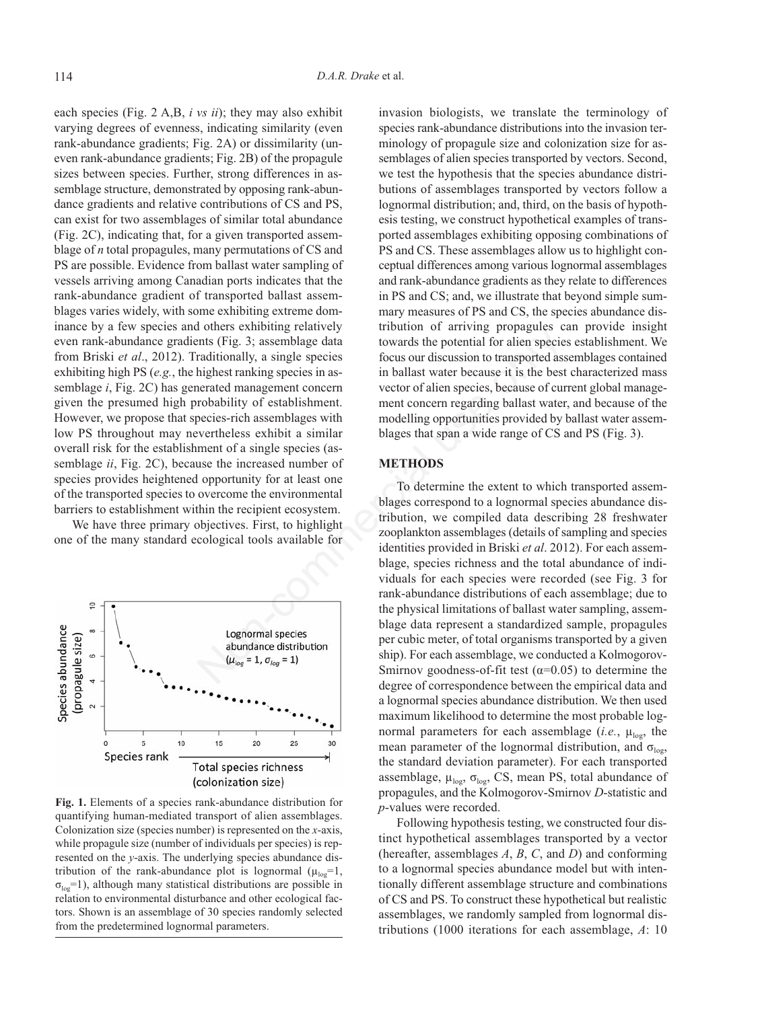each species (Fig. 2 A,B, *i vs ii*); they may also exhibit varying degrees of evenness, indicating similarity (even rank-abundance gradients; Fig. 2A) or dissimilarity (uneven rank-abundance gradients; Fig. 2B) of the propagule sizes between species. Further, strong differences in assemblage structure, demonstrated by opposing rank-abundance gradients and relative contributions of CS and PS, can exist for two assemblages of similar total abundance (Fig. 2C), indicating that, for a given transported assemblage of *n* total propagules, many permutations of CS and PS are possible. Evidence from ballast water sampling of vessels arriving among Canadian ports indicates that the rank-abundance gradient of transported ballast assemblages varies widely, with some exhibiting extreme dominance by a few species and others exhibiting relatively even rank-abundance gradients (Fig. 3; assemblage data from Briski *et al*., 2012). Traditionally, a single species exhibiting high PS (*e.g.*, the highest ranking species in assemblage *i*, Fig. 2C) has generated management concern given the presumed high probability of establishment. However, we propose that species-rich assemblages with low PS throughout may nevertheless exhibit a similar overall risk for the establishment of a single species (assemblage *ii*, Fig. 2C), because the increased number of species provides heightened opportunity for at least one of the transported species to overcome the environmental barriers to establishment within the recipient ecosystem.

We have three primary objectives. First, to highlight one of the many standard ecological tools available for



**Fig. 1.** Elements of a species rank-abundance distribution for quantifying human-mediated transport of alien assemblages. Colonization size (species number) is represented on the *x*-axis, while propagule size (number of individuals per species) is represented on the *y*-axis. The underlying species abundance distribution of the rank-abundance plot is lognormal  $(\mu_{\text{loop}}=1,$  $\sigma_{\text{log}}=1$ ), although many statistical distributions are possible in relation to environmental disturbance and other ecological factors. Shown is an assemblage of 30 species randomly selected from the predetermined lognormal parameters.

invasion biologists, we translate the terminology of species rank-abundance distributions into the invasion terminology of propagule size and colonization size for assemblages of alien species transported by vectors. Second, we test the hypothesis that the species abundance distributions of assemblages transported by vectors follow a lognormal distribution; and, third, on the basis of hypothesis testing, we construct hypothetical examples of transported assemblages exhibiting opposing combinations of PS and CS. These assemblages allow us to highlight conceptual differences among various lognormal assemblages and rank-abundance gradients as they relate to differences in PS and CS; and, we illustrate that beyond simple summary measures of PS and CS, the species abundance distribution of arriving propagules can provide insight towards the potential for alien species establishment. We focus our discussion to transported assemblages contained in ballast water because it is the best characterized mass vector of alien species, because of current global management concern regarding ballast water, and because of the modelling opportunities provided by ballast water assemblages that span a wide range of CS and PS (Fig. 3).

## **METHODS**

To determine the extent to which transported assemblages correspond to a lognormal species abundance distribution, we compiled data describing 28 freshwater zooplankton assemblages (details of sampling and species identities provided in Briski *et al*. 2012). For each assemblage, species richness and the total abundance of individuals for each species were recorded (see Fig. 3 for rank-abundance distributions of each assemblage; due to the physical limitations of ballast water sampling, assemblage data represent a standardized sample, propagules per cubic meter, of total organisms transported by a given ship). For each assemblage, we conducted a Kolmogorov-Smirnov goodness-of-fit test ( $\alpha$ =0.05) to determine the degree of correspondence between the empirical data and a lognormal species abundance distribution. We then used maximum likelihood to determine the most probable lognormal parameters for each assemblage (*i.e.*,  $\mu_{\text{log}}$ , the mean parameter of the lognormal distribution, and  $\sigma_{\text{loc}}$ , the standard deviation parameter). For each transported assemblage,  $\mu_{\text{log}}$ ,  $\sigma_{\text{log}}$ , CS, mean PS, total abundance of propagules, and the Kolmogorov-Smirnov *D*-statistic and *p*-values were recorded. of the standing relativity<br>
in the potential for alien species that (Fig. 3; assemblage data<br>
towards the potential for alien species<br>
raditionally, a single species<br>
from vector of alien species focus our discussion to t

> Following hypothesis testing, we constructed four distinct hypothetical assemblages transported by a vector (hereafter, assemblages *A*, *B*, *C*, and *D*) and conforming to a lognormal species abundance model but with intentionally different assemblage structure and combinations of CS and PS. To construct these hypothetical but realistic assemblages, we randomly sampled from lognormal distributions (1000 iterations for each assemblage, *A*: 10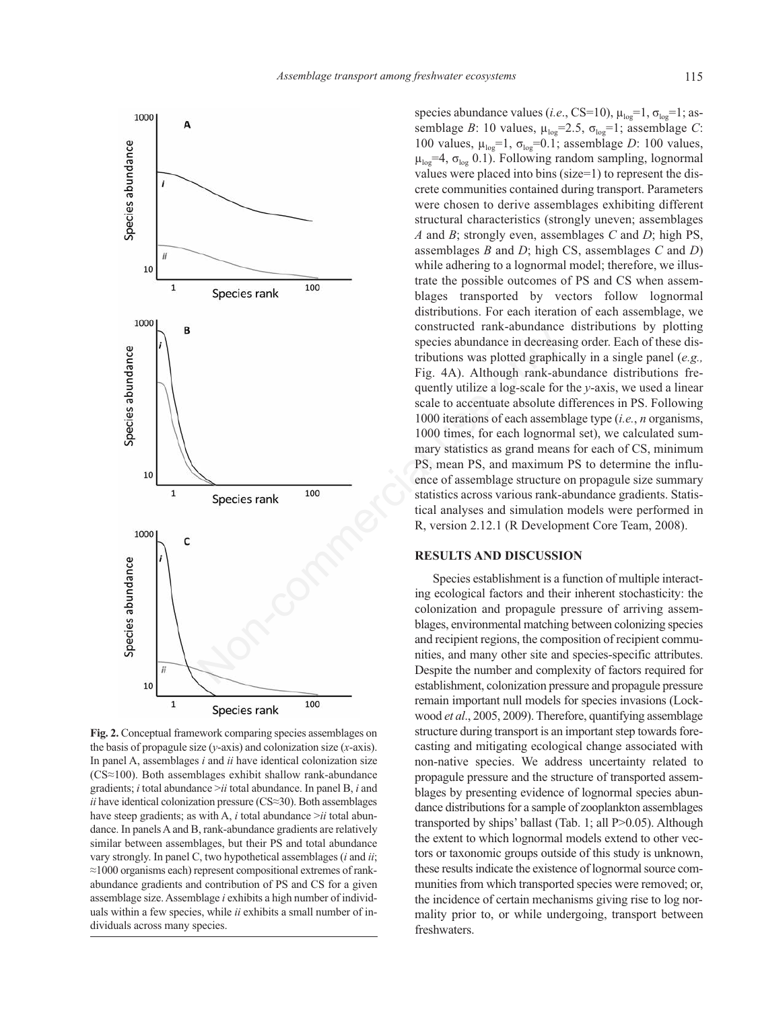

**Fig. 2.** Conceptual framework comparing species assemblages on the basis of propagule size (*y*-axis) and colonization size (*x*-axis). In panel A, assemblages *i* and *ii* have identical colonization size (CS≈100). Both assemblages exhibit shallow rank-abundance gradients; *i* total abundance >*ii* total abundance. In panel B, *i* and *ii* have identical colonization pressure (CS≈30). Both assemblages have steep gradients; as with A, *i* total abundance >*ii* total abundance. In panels A and B, rank-abundance gradients are relatively similar between assemblages, but their PS and total abundance vary strongly. In panel C, two hypothetical assemblages (*i* and *ii*; ≈1000 organisms each) represent compositional extremes of rankabundance gradients and contribution of PS and CS for a given assemblage size. Assemblage *i* exhibits a high number of individuals within a few species, while *ii* exhibits a small number of individuals across many species.

species abundance values (*i.e.*, CS=10),  $\mu_{\text{log}}=1$ ,  $\sigma_{\text{log}}=1$ ; assemblage *B*: 10 values,  $\mu_{\text{loc}} = 2.5$ ,  $\sigma_{\text{loc}} = 1$ ; assemblage *C*: 100 values,  $\mu_{\text{loc}}=1$ ,  $\sigma_{\text{loc}}=0.1$ ; assemblage *D*: 100 values,  $\mu_{\text{loc}}$ =4,  $\sigma_{\text{loc}}$  0.1). Following random sampling, lognormal values were placed into bins (size=1) to represent the discrete communities contained during transport. Parameters were chosen to derive assemblages exhibiting different structural characteristics (strongly uneven; assemblages *A* and *B*; strongly even, assemblages *C* and *D*; high PS, assemblages *B* and *D*; high CS, assemblages *C* and *D*) while adhering to a lognormal model; therefore, we illustrate the possible outcomes of PS and CS when assemblages transported by vectors follow lognormal distributions. For each iteration of each assemblage, we constructed rank-abundance distributions by plotting species abundance in decreasing order. Each of these distributions was plotted graphically in a single panel (*e.g.,* Fig. 4A). Although rank-abundance distributions frequently utilize a log-scale for the *y*-axis, we used a linear scale to accentuate absolute differences in PS. Following 1000 iterations of each assemblage type (*i.e.*, *n* organisms, 1000 times, for each lognormal set), we calculated summary statistics as grand means for each of CS, minimum PS, mean PS, and maximum PS to determine the influence of assemblage structure on propagule size summary statistics across various rank-abundance gradients. Statistical analyses and simulation models were performed in R, version 2.12.1 (R Development Core Team, 2008).

## **RESULTS AND DISCUSSION**

Species establishment is a function of multiple interacting ecological factors and their inherent stochasticity: the colonization and propagule pressure of arriving assemblages, environmental matching between colonizing species and recipient regions, the composition of recipient communities, and many other site and species-specific attributes. Despite the number and complexity of factors required for establishment, colonization pressure and propagule pressure remain important null models for species invasions (Lockwood *et al*., 2005, 2009). Therefore, quantifying assemblage structure during transport is an important step towards forecasting and mitigating ecological change associated with non-native species. We address uncertainty related to propagule pressure and the structure of transported assemblages by presenting evidence of lognormal species abundance distributions for a sample of zooplankton assemblages transported by ships' ballast (Tab. 1; all P>0.05). Although the extent to which lognormal models extend to other vectors or taxonomic groups outside of this study is unknown, these results indicate the existence of lognormal source communities from which transported species were removed; or, the incidence of certain mechanisms giving rise to log normality prior to, or while undergoing, transport between freshwaters.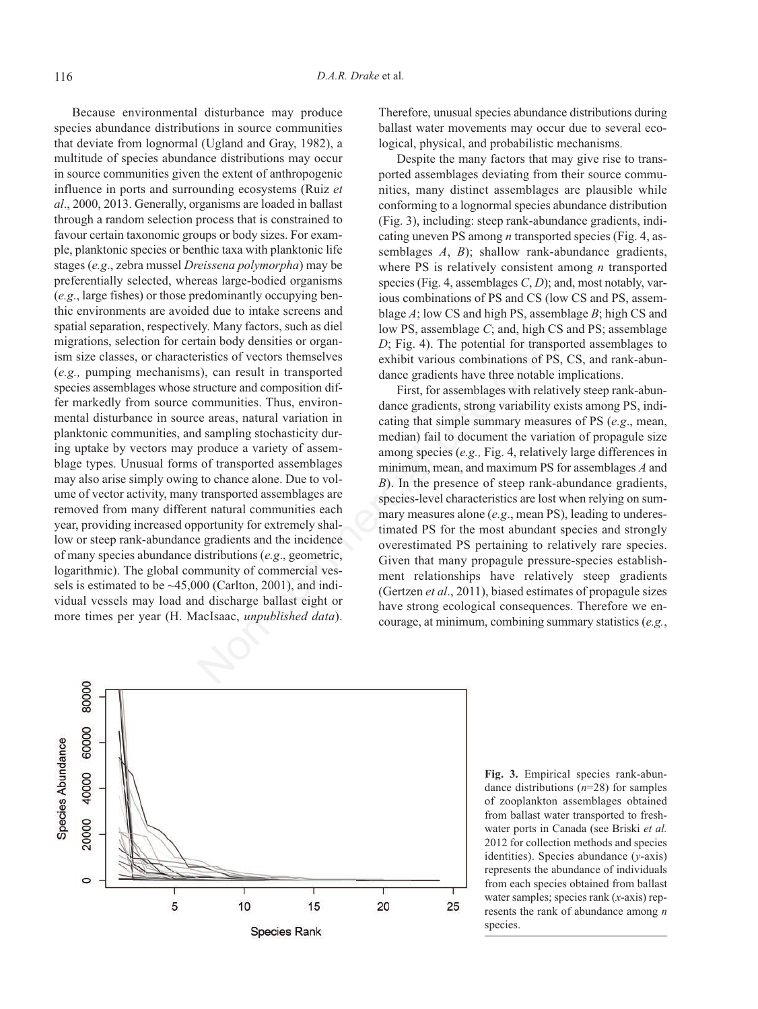Because environmental disturbance may produce species abundance distributions in source communities that deviate from lognormal (Ugland and Gray, 1982), a multitude of species abundance distributions may occur in source communities given the extent of anthropogenic influence in ports and surrounding ecosystems (Ruiz *et al*., 2000, 2013. Generally, organisms are loaded in ballast through a random selection process that is constrained to favour certain taxonomic groups or body sizes. For example, planktonic species or benthic taxa with planktonic life stages (*e.g*., zebra mussel *Dreissena polymorpha*) may be preferentially selected, whereas large-bodied organisms (*e.g*., large fishes) or those predominantly occupying benthic environments are avoided due to intake screens and spatial separation, respectively. Many factors, such as diel migrations, selection for certain body densities or organism size classes, or characteristics of vectors themselves (*e.g.,* pumping mechanisms), can result in transported species assemblages whose structure and composition differ markedly from source communities. Thus, environmental disturbance in source areas, natural variation in planktonic communities, and sampling stochasticity during uptake by vectors may produce a variety of assemblage types. Unusual forms of transported assemblages may also arise simply owing to chance alone. Due to volume of vector activity, many transported assemblages are removed from many different natural communities each year, providing increased opportunity for extremely shallow or steep rank-abundance gradients and the incidence of many species abundance distributions (*e.g*., geometric, logarithmic). The global community of commercial vessels is estimated to be  $\sim$  45,000 (Carlton, 2001), and individual vessels may load and discharge ballast eight or more times per year (H. MacIsaac, *unpublished data*). Therefore, unusual species abundance distributions during ballast water movements may occur due to several ecological, physical, and probabilistic mechanisms.

Despite the many factors that may give rise to transported assemblages deviating from their source communities, many distinct assemblages are plausible while conforming to a lognormal species abundance distribution (Fig. 3), including: steep rank-abundance gradients, indicating uneven PS among *n* transported species (Fig. 4, assemblages *A*, *B*); shallow rank-abundance gradients, where PS is relatively consistent among *n* transported species (Fig. 4, assemblages *C*, *D*); and, most notably, various combinations of PS and CS (low CS and PS, assemblage *A*; low CS and high PS, assemblage *B*; high CS and low PS, assemblage *C*; and, high CS and PS; assemblage *D*; Fig. 4). The potential for transported assemblages to exhibit various combinations of PS, CS, and rank-abundance gradients have three notable implications.

First, for assemblages with relatively steep rank-abundance gradients, strong variability exists among PS, indicating that simple summary measures of PS (*e.g*., mean, median) fail to document the variation of propagule size among species (*e.g.,* Fig. 4, relatively large differences in minimum, mean, and maximum PS for assemblages *A* and *B*). In the presence of steep rank-abundance gradients, species-level characteristics are lost when relying on summary measures alone (*e.g*., mean PS), leading to underestimated PS for the most abundant species and strongly overestimated PS pertaining to relatively rare species. Given that many propagule pressure-species establishment relationships have relatively steep gradients (Gertzen *et al*., 2011), biased estimates of propagule sizes have strong ecological consequences. Therefore we encourage, at minimum, combining summary statistics (*e.g.*, y. Valuey actours, such as low P.S, assemblage C, and, high CS<br>
in holdy densities or organ-<br>
In than body densities or organ-<br>  $D$ ; Fig. 4). The potential for transport<br>
stricture and composition dif-<br>
in transported<br>
tr



**Fig. 3.** Empirical species rank-abundance distributions (*n*=28) for samples of zooplankton assemblages obtained from ballast water transported to freshwater ports in Canada (see Briski *et al.* 2012 for collection methods and species identities). Species abundance (*y*-axis) represents the abundance of individuals from each species obtained from ballast water samples; species rank (*x*-axis) represents the rank of abundance among *n* species.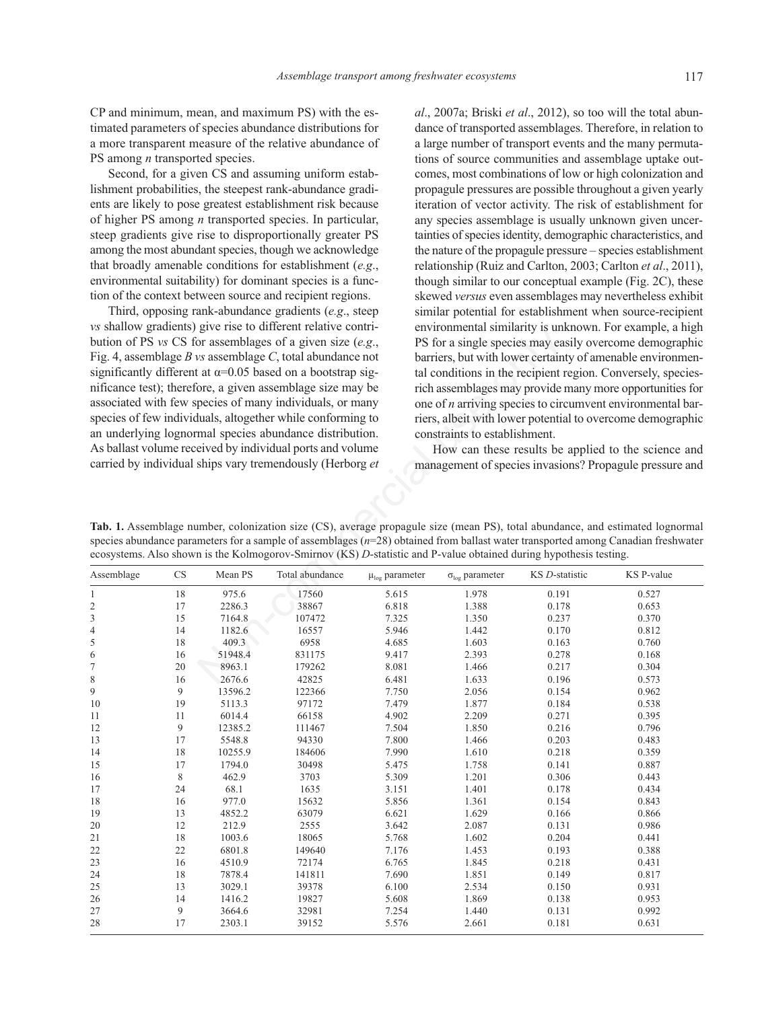CP and minimum, mean, and maximum PS) with the estimated parameters of species abundance distributions for a more transparent measure of the relative abundance of PS among *n* transported species.

Second, for a given CS and assuming uniform establishment probabilities, the steepest rank-abundance gradients are likely to pose greatest establishment risk because of higher PS among *n* transported species. In particular, steep gradients give rise to disproportionally greater PS among the most abundant species, though we acknowledge that broadly amenable conditions for establishment (*e.g*., environmental suitability) for dominant species is a function of the context between source and recipient regions.

Third, opposing rank-abundance gradients (*e.g*., steep *vs* shallow gradients) give rise to different relative contribution of PS *vs* CS for assemblages of a given size (*e.g*., Fig. 4, assemblage *B vs* assemblage *C*, total abundance not significantly different at  $\alpha$ =0.05 based on a bootstrap significance test); therefore, a given assemblage size may be associated with few species of many individuals, or many species of few individuals, altogether while conforming to an underlying lognormal species abundance distribution. As ballast volume received by individual ports and volume carried by individual ships vary tremendously (Herborg *et* *al*., 2007a; Briski *et al*., 2012), so too will the total abundance of transported assemblages. Therefore, in relation to a large number of transport events and the many permutations of source communities and assemblage uptake outcomes, most combinations of low or high colonization and propagule pressures are possible throughout a given yearly iteration of vector activity. The risk of establishment for any species assemblage is usually unknown given uncertainties of species identity, demographic characteristics, and the nature of the propagule pressure – species establishment relationship (Ruiz and Carlton, 2003; Carlton *et al*., 2011), though similar to our conceptual example (Fig. 2C), these skewed *versus* even assemblages may nevertheless exhibit similar potential for establishment when source-recipient environmental similarity is unknown. For example, a high PS for a single species may easily overcome demographic barriers, but with lower certainty of amenable environmental conditions in the recipient region. Conversely, speciesrich assemblages may provide many more opportunities for one of *n* arriving species to circumvent environmental barriers, albeit with lower potential to overcome demographic constraints to establishment.

How can these results be applied to the science and management of species invasions? Propagule pressure and

Assemblage CS Mean PS Total abundance  $\mu_{\text{log}}$  parameter σ<sub>log</sub> parameter KS *D*-statistic KS P-value 1 18 975.6 17560 5.615 1.978 0.191 0.527 2 17 2286.3 38867 6.818 1.388 0.178 0.653 3 15 7164.8 107472 7.325 1.350 0.237 0.370 4 14 1182.6 16557 5.946 1.442 0.170 0.812 5 18 409.3 6958 4.685 1.603 0.163 0.760 6 16 51948.4 831175 9.417 2.393 0.278 0.168 7 20 8963.1 179262 8.081 1.466 0.217 0.304 8 16 2676.6 42825 6.481 1.633 0.196 0.573 9 9 13596.2 122366 7.750 2.056 0.154 0.962 10 19 5113.3 97172 7.479 1.877 0.184 0.538 11 11 6014.4 66158 4.902 2.209 0.271 0.395 12 9 12385.2 111467 7.504 1.850 0.216 0.796 13 17 5548.8 94330 7.800 1.466 0.203 0.483 14 18 10255.9 184606 7.990 1.610 0.218 0.359 15 17 1794.0 30498 5.475 1.758 0.141 0.887 16 8 462.9 3703 5.309 1.201 0.306 0.443 17 24 68.1 1635 3.151 1.401 0.178 0.434 18 16 977.0 15632 5.856 1.361 0.154 0.843 19 13 4852.2 63079 6.621 1.629 0.166 0.866 20 12 212.9 2555 3.642 2.087 0.131 0.986 21 18 1003.6 18065 5.768 1.602 0.204 0.441 22 22 6801.8 149640 7.176 1.453 0.193 0.388 23 16 4510.9 72174 6.765 1.845 0.218 0.431 24 18 7878.4 141811 7.690 1.851 0.149 0.817 25 13 3029.1 39378 6.100 2.534 0.150 0.931 26 14 1416.2 19827 5.608 1.869 0.138 0.953 27 9 3664.6 32981 7.254 1.440 0.131 0.992 28 17 2303.1 39152 5.576 2.661 0.181 0.631 give Inc. to uncertaint change of a given size ( $e.g.,$ )<br>
PS for a single species may ease on a bootstrap sig-<br>
ws assemblages of a given size ( $e.g.,$ ) PS for a single species may be<br>
ws assemblages of a given and bootstrap

**Tab. 1.** Assemblage number, colonization size (CS), average propagule size (mean PS), total abundance, and estimated lognormal species abundance parameters for a sample of assemblages ( $n=28$ ) obtained from ballast water transported among Canadian freshwater ecosystems. Also shown is the Kolmogorov-Smirnov (KS) *D*-statistic and P-value obtained during hypothesis testing.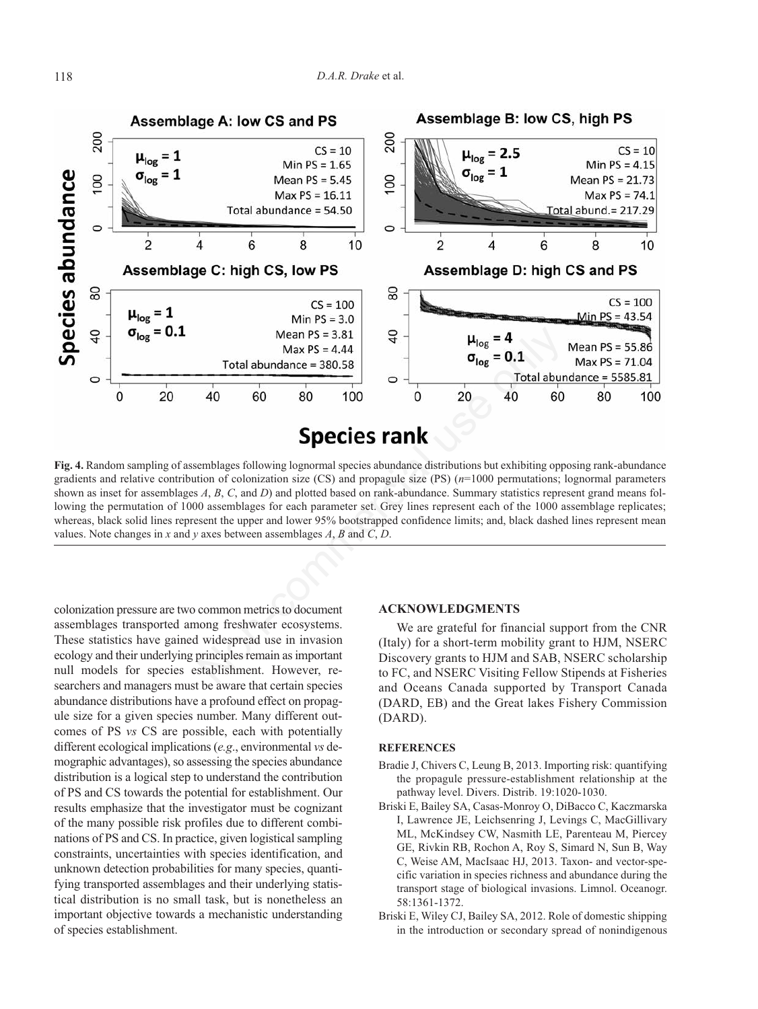

**Fig. 4.** Random sampling of assemblages following lognormal species abundance distributions but exhibiting opposing rank-abundance gradients and relative contribution of colonization size (CS) and propagule size (PS) (*n*=1000 permutations; lognormal parameters shown as inset for assemblages *A*, *B*, *C*, and *D*) and plotted based on rank-abundance. Summary statistics represent grand means following the permutation of 1000 assemblages for each parameter set. Grey lines represent each of the 1000 assemblage replicates; whereas, black solid lines represent the upper and lower 95% bootstrapped confidence limits; and, black dashed lines represent mean values. Note changes in *x* and *y* axes between assemblages *A*, *B* and *C*, *D*.

colonization pressure are two common metrics to document assemblages transported among freshwater ecosystems. These statistics have gained widespread use in invasion ecology and their underlying principles remain as important null models for species establishment. However, researchers and managers must be aware that certain species abundance distributions have a profound effect on propagule size for a given species number. Many different outcomes of PS *vs* CS are possible, each with potentially different ecological implications (*e.g*., environmental *vs* demographic advantages), so assessing the species abundance distribution is a logical step to understand the contribution of PS and CS towards the potential for establishment. Our results emphasize that the investigator must be cognizant of the many possible risk profiles due to different combinations of PS and CS. In practice, given logistical sampling constraints, uncertainties with species identification, and unknown detection probabilities for many species, quantifying transported assemblages and their underlying statistical distribution is no small task, but is nonetheless an important objective towards a mechanistic understanding of species establishment.

### **ACKNOWLEDGMENTS**

We are grateful for financial support from the CNR (Italy) for a short-term mobility grant to HJM, NSERC Discovery grants to HJM and SAB, NSERC scholarship to FC, and NSERC Visiting Fellow Stipends at Fisheries and Oceans Canada supported by Transport Canada (DARD, EB) and the Great lakes Fishery Commission (DARD).

## **REFERENCES**

- Bradie J, Chivers C, Leung B, 2013. Importing risk: quantifying the propagule pressure-establishment relationship at the pathway level. Divers. Distrib. 19:1020-1030.
- Briski E, Bailey SA, Casas-Monroy O, DiBacco C, Kaczmarska I, Lawrence JE, Leichsenring J, Levings C, MacGillivary ML, McKindsey CW, Nasmith LE, Parenteau M, Piercey GE, Rivkin RB, Rochon A, Roy S, Simard N, Sun B, Way C, Weise AM, MacIsaac HJ, 2013. Taxon- and vector-specific variation in species richness and abundance during the transport stage of biological invasions. Limnol. Oceanogr. 58:1361-1372.
- Briski E, Wiley CJ, Bailey SA, 2012. Role of domestic shipping in the introduction or secondary spread of nonindigenous